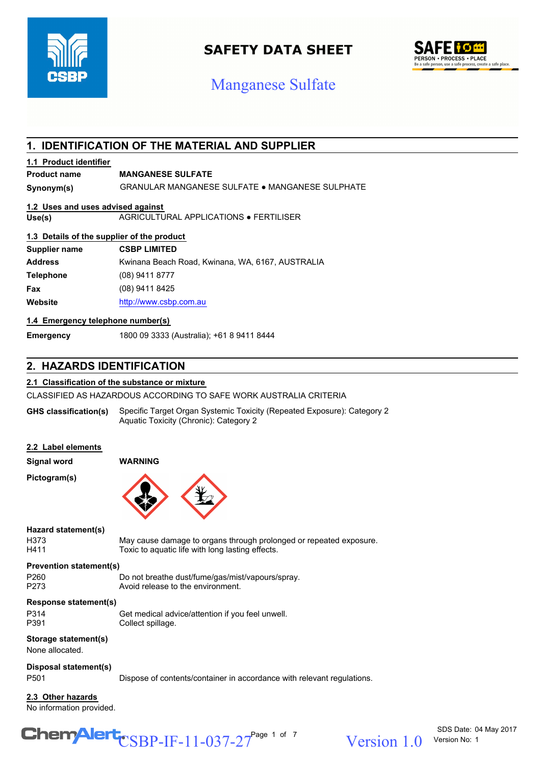

## **SAFETY DATA SHEET**

## SAFE i 6 <del>m</del> **PERSON • PROCESS • PLACE**<br>Be a safe person, use a safe process, create a safe place.

# Manganese Sulfate

## **1. IDENTIFICATION OF THE MATERIAL AND SUPPLIER**

## **1.1 Product identifier**

## **Product name MANGANESE SULFATE**

**Synonym(s)** GRANULAR MANGANESE SULFATE ● MANGANESE SULPHATE

## **1.2 Uses and uses advised against**

**Use(s)** AGRICULTURAL APPLICATIONS ● FERTILISER

## **1.3 Details of the supplier of the product**

| Supplier name    | <b>CSBP LIMITED</b>                              |
|------------------|--------------------------------------------------|
| <b>Address</b>   | Kwinana Beach Road, Kwinana, WA, 6167, AUSTRALIA |
| <b>Telephone</b> | (08) 9411 8777                                   |
| Fax              | (08) 9411 8425                                   |
| Website          | http://www.csbp.com.au                           |

## **1.4 Emergency telephone number(s)**

**Emergency** 1800 09 3333 (Australia); +61 8 9411 8444

## **2. HAZARDS IDENTIFICATION**

## **2.1 Classification of the substance or mixture**

CLASSIFIED AS HAZARDOUS ACCORDING TO SAFE WORK AUSTRALIA CRITERIA

Specific Target Organ Systemic Toxicity (Repeated Exposure): Category 2 Aquatic Toxicity (Chronic): Category 2 **GHS classification(s)**

| 2.2 Label elements                            |                                                                                                                        |
|-----------------------------------------------|------------------------------------------------------------------------------------------------------------------------|
| <b>Signal word</b>                            | <b>WARNING</b>                                                                                                         |
| Pictogram(s)                                  |                                                                                                                        |
| Hazard statement(s)<br>H373<br>H411           | May cause damage to organs through prolonged or repeated exposure.<br>Toxic to aquatic life with long lasting effects. |
| <b>Prevention statement(s)</b>                |                                                                                                                        |
| P <sub>260</sub><br>P273                      | Do not breathe dust/fume/gas/mist/vapours/spray.<br>Avoid release to the environment.                                  |
| Response statement(s)                         |                                                                                                                        |
| P314<br>P391                                  | Get medical advice/attention if you feel unwell.<br>Collect spillage.                                                  |
| Storage statement(s)<br>None allocated.       |                                                                                                                        |
| Disposal statement(s)<br>P <sub>501</sub>     | Dispose of contents/container in accordance with relevant regulations.                                                 |
| 2.3 Other hazards<br>No information provided. |                                                                                                                        |

# $\text{CSBP-IF-11-037-27}^{\text{Page 1 of 7}}$  Version 1.0

Version 1 0 Version No: 1

SDS Date: 04 May 2017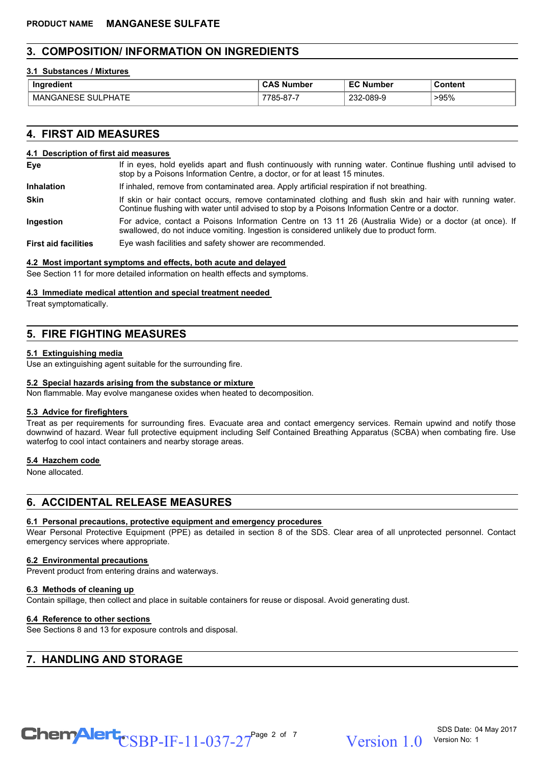## **3. COMPOSITION/ INFORMATION ON INGREDIENTS**

## **3.1 Substances / Mixtures**

| Ingredient<br>realent.                                           | $\mathbf{A}$<br>. Number<br>va.  | $  -$<br>.umber<br>N<br>∼ | วontent |
|------------------------------------------------------------------|----------------------------------|---------------------------|---------|
| $\sim$ $\sim$ $\sim$<br>MA.<br>⊣∆N⊩<br>PHAIL<br>. NP<br>∽−<br>דר | $\sim$<br>70 L<br>7-01-<br>. ה י | nne<br>089-9              | >95%    |

## **4. FIRST AID MEASURES**

### **4.1 Description of first aid measures**

| <b>Eye</b> | If in eyes, hold eyelids apart and flush continuously with running water. Continue flushing until advised to |
|------------|--------------------------------------------------------------------------------------------------------------|
|            | stop by a Poisons Information Centre, a doctor, or for at least 15 minutes.                                  |

- **Inhalation** If inhaled, remove from contaminated area. Apply artificial respiration if not breathing.
- If skin or hair contact occurs, remove contaminated clothing and flush skin and hair with running water. Continue flushing with water until advised to stop by a Poisons Information Centre or a doctor. **Skin**
- For advice, contact a Poisons Information Centre on 13 11 26 (Australia Wide) or a doctor (at once). If swallowed, do not induce vomiting. Ingestion is considered unlikely due to product form. **Ingestion**
- First aid facilities Eye wash facilities and safety shower are recommended.

## **4.2 Most important symptoms and effects, both acute and delayed**

See Section 11 for more detailed information on health effects and symptoms.

## **4.3 Immediate medical attention and special treatment needed**

Treat symptomatically.

## **5. FIRE FIGHTING MEASURES**

## **5.1 Extinguishing media**

Use an extinguishing agent suitable for the surrounding fire.

## **5.2 Special hazards arising from the substance or mixture**

Non flammable. May evolve manganese oxides when heated to decomposition.

## **5.3 Advice for firefighters**

Treat as per requirements for surrounding fires. Evacuate area and contact emergency services. Remain upwind and notify those downwind of hazard. Wear full protective equipment including Self Contained Breathing Apparatus (SCBA) when combating fire. Use waterfog to cool intact containers and nearby storage areas.

## **5.4 Hazchem code**

None allocated.

## **6. ACCIDENTAL RELEASE MEASURES**

## **6.1 Personal precautions, protective equipment and emergency procedures**

Wear Personal Protective Equipment (PPE) as detailed in section 8 of the SDS. Clear area of all unprotected personnel. Contact emergency services where appropriate.

## **6.2 Environmental precautions**

Prevent product from entering drains and waterways.

#### **6.3 Methods of cleaning up**

Contain spillage, then collect and place in suitable containers for reuse or disposal. Avoid generating dust.

#### **6.4 Reference to other sections**

See Sections 8 and 13 for exposure controls and disposal.

## **7. HANDLING AND STORAGE**

 $\text{CSBP-IF-11-037-27}^{\text{Page 2 of 7}}$  Version 1.0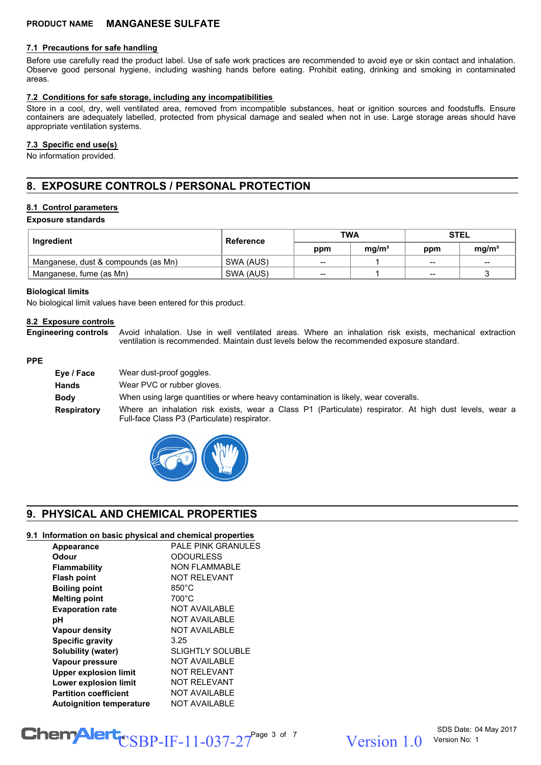#### **7.1 Precautions for safe handling**

Before use carefully read the product label. Use of safe work practices are recommended to avoid eye or skin contact and inhalation. Observe good personal hygiene, including washing hands before eating. Prohibit eating, drinking and smoking in contaminated areas.

#### **7.2 Conditions for safe storage, including any incompatibilities**

Store in a cool, dry, well ventilated area, removed from incompatible substances, heat or ignition sources and foodstuffs. Ensure containers are adequately labelled, protected from physical damage and sealed when not in use. Large storage areas should have appropriate ventilation systems.

## **7.3 Specific end use(s)**

No information provided.

## **8. EXPOSURE CONTROLS / PERSONAL PROTECTION**

#### **8.1 Control parameters**

**Exposure standards**

| Ingredient                          | Reference | <b>TWA</b> |                   | <b>STEL</b>       |                   |
|-------------------------------------|-----------|------------|-------------------|-------------------|-------------------|
|                                     |           | ppm        | ma/m <sup>3</sup> | ppm               | ma/m <sup>3</sup> |
| Manganese, dust & compounds (as Mn) | SWA (AUS) | $- -$      |                   | $- -$             | $- -$             |
| Manganese, fume (as Mn)             | SWA (AUS) | --         |                   | $\hspace{0.05cm}$ |                   |

#### **Biological limits**

No biological limit values have been entered for this product.

## **8.2 Exposure controls**

Avoid inhalation. Use in well ventilated areas. Where an inhalation risk exists, mechanical extraction ventilation is recommended. Maintain dust levels below the recommended exposure standard. **Engineering controls**

#### **PPE**

| Eye / Face  | Wear dust-proof goggles.                                                                                                                               |
|-------------|--------------------------------------------------------------------------------------------------------------------------------------------------------|
| Hands       | Wear PVC or rubber gloves.                                                                                                                             |
| <b>Body</b> | When using large quantities or where heavy contamination is likely, wear coveralls.                                                                    |
| Respiratory | Where an inhalation risk exists, wear a Class P1 (Particulate) respirator. At high dust levels, wear a<br>Full-face Class P3 (Particulate) respirator. |



## **9. PHYSICAL AND CHEMICAL PROPERTIES**

#### **9.1 Information on basic physical and chemical properties**

| Appearance                      | <b>PALE PINK GRANULES</b> |
|---------------------------------|---------------------------|
| Odour                           | <b>ODOURLESS</b>          |
| <b>Flammability</b>             | <b>NON FLAMMABLE</b>      |
| <b>Flash point</b>              | <b>NOT RELEVANT</b>       |
| <b>Boiling point</b>            | $850^{\circ}$ C           |
| <b>Melting point</b>            | $700^{\circ}$ C           |
| <b>Evaporation rate</b>         | <b>NOT AVAILABLE</b>      |
| рH                              | <b>NOT AVAILABLE</b>      |
| <b>Vapour density</b>           | <b>NOT AVAILABLE</b>      |
| <b>Specific gravity</b>         | 3.25                      |
| Solubility (water)              | <b>SLIGHTLY SOLUBLE</b>   |
| Vapour pressure                 | <b>NOT AVAILABLE</b>      |
| <b>Upper explosion limit</b>    | <b>NOT RELEVANT</b>       |
| <b>Lower explosion limit</b>    | <b>NOT RELEVANT</b>       |
| <b>Partition coefficient</b>    | <b>NOT AVAILABLE</b>      |
| <b>Autoignition temperature</b> | <b>NOT AVAILABLE</b>      |

# $\text{CSBP-IF-11-037-27}^{\text{Page 3 of 7}}$  Version 1.0

 $Version 1 0$  Version No: 1

SDS Date: 04 May 2017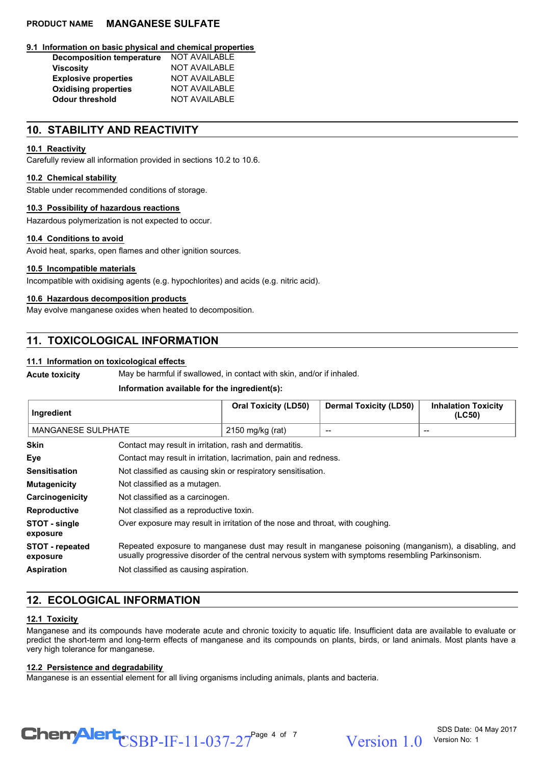#### **9.1 Information on basic physical and chemical properties**

| <b>Decomposition temperature</b> | NOT AVAILABLE        |
|----------------------------------|----------------------|
| <b>Viscosity</b>                 | <b>NOT AVAILABLE</b> |
| <b>Explosive properties</b>      | <b>NOT AVAILABLE</b> |
| <b>Oxidising properties</b>      | <b>NOT AVAILABLE</b> |
| <b>Odour threshold</b>           | <b>NOT AVAILABLE</b> |

## **10. STABILITY AND REACTIVITY**

#### **10.1 Reactivity**

Carefully review all information provided in sections 10.2 to 10.6.

#### **10.2 Chemical stability**

Stable under recommended conditions of storage.

#### **10.3 Possibility of hazardous reactions**

Hazardous polymerization is not expected to occur.

#### **10.4 Conditions to avoid**

Avoid heat, sparks, open flames and other ignition sources.

#### **10.5 Incompatible materials**

Incompatible with oxidising agents (e.g. hypochlorites) and acids (e.g. nitric acid).

#### **10.6 Hazardous decomposition products**

May evolve manganese oxides when heated to decomposition.

## **11. TOXICOLOGICAL INFORMATION**

### **11.1 Information on toxicological effects**

**Acute toxicity** May be harmful if swallowed, in contact with skin, and/or if inhaled.

#### **Information available for the ingredient(s):**

| Ingredient                         |                                                                                                                                                                                                          | <b>Oral Toxicity (LD50)</b>                                      | <b>Dermal Toxicity (LD50)</b> | <b>Inhalation Toxicity</b><br>(LC50) |
|------------------------------------|----------------------------------------------------------------------------------------------------------------------------------------------------------------------------------------------------------|------------------------------------------------------------------|-------------------------------|--------------------------------------|
| <b>MANGANESE SULPHATE</b>          |                                                                                                                                                                                                          | 2150 mg/kg (rat)                                                 |                               |                                      |
| <b>Skin</b>                        | Contact may result in irritation, rash and dermatitis.                                                                                                                                                   |                                                                  |                               |                                      |
| Eye                                |                                                                                                                                                                                                          | Contact may result in irritation, lacrimation, pain and redness. |                               |                                      |
| <b>Sensitisation</b>               | Not classified as causing skin or respiratory sensitisation.                                                                                                                                             |                                                                  |                               |                                      |
| <b>Mutagenicity</b>                | Not classified as a mutagen.                                                                                                                                                                             |                                                                  |                               |                                      |
| Carcinogenicity                    | Not classified as a carcinogen.                                                                                                                                                                          |                                                                  |                               |                                      |
| <b>Reproductive</b>                | Not classified as a reproductive toxin.                                                                                                                                                                  |                                                                  |                               |                                      |
| STOT - single<br>exposure          | Over exposure may result in irritation of the nose and throat, with coughing.                                                                                                                            |                                                                  |                               |                                      |
| <b>STOT - repeated</b><br>exposure | Repeated exposure to manganese dust may result in manganese poisoning (manganism), a disabling, and<br>usually progressive disorder of the central nervous system with symptoms resembling Parkinsonism. |                                                                  |                               |                                      |
| <b>Aspiration</b>                  | Not classified as causing aspiration.                                                                                                                                                                    |                                                                  |                               |                                      |

## **12. ECOLOGICAL INFORMATION**

#### **12.1 Toxicity**

Manganese and its compounds have moderate acute and chronic toxicity to aquatic life. Insufficient data are available to evaluate or predict the short-term and long-term effects of manganese and its compounds on plants, birds, or land animals. Most plants have a very high tolerance for manganese.

#### **12.2 Persistence and degradability**

Manganese is an essential element for all living organisms including animals, plants and bacteria.

 $\text{CSBP-IF-11-037-27}^{\text{Page 4 of 7}}$  Version 1.0

Version 1 0 Version No: 1

SDS Date: 04 May 2017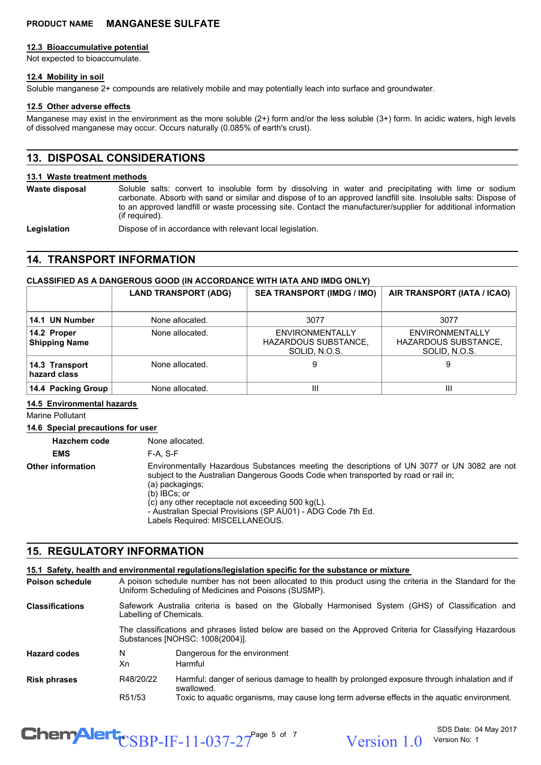### **12.3 Bioaccumulative potential**

Not expected to bioaccumulate.

## **12.4 Mobility in soil**

Soluble manganese 2+ compounds are relatively mobile and may potentially leach into surface and groundwater.

### **12.5 Other adverse effects**

Manganese may exist in the environment as the more soluble (2+) form and/or the less soluble (3+) form. In acidic waters, high levels of dissolved manganese may occur. Occurs naturally (0.085% of earth's crust).

## **13. DISPOSAL CONSIDERATIONS**

## **13.1 Waste treatment methods**

**Waste disposal**

Soluble salts: convert to insoluble form by dissolving in water and precipitating with lime or sodium carbonate. Absorb with sand or similar and dispose of to an approved landfill site. Insoluble salts: Dispose of to an approved landfill or waste processing site. Contact the manufacturer/supplier for additional information (if required).

Legislation **Dispose of in accordance with relevant local legislation.** 

## **14. TRANSPORT INFORMATION**

## **CLASSIFIED AS A DANGEROUS GOOD (IN ACCORDANCE WITH IATA AND IMDG ONLY)**

|                                     | <b>LAND TRANSPORT (ADG)</b> | <b>SEA TRANSPORT (IMDG / IMO)</b>                               | AIR TRANSPORT (IATA / ICAO)                                            |
|-------------------------------------|-----------------------------|-----------------------------------------------------------------|------------------------------------------------------------------------|
| 14.1 UN Number                      | None allocated.             | 3077                                                            | 3077                                                                   |
| 14.2 Proper<br><b>Shipping Name</b> | None allocated.             | ENVIRONMENTALLY<br><b>HAZARDOUS SUBSTANCE,</b><br>SOLID, N.O.S. | <b>ENVIRONMENTALLY</b><br><b>HAZARDOUS SUBSTANCE,</b><br>SOLID, N.O.S. |
| 14.3 Transport<br>hazard class      | None allocated.             | 9                                                               | 9                                                                      |
| 14.4 Packing Group                  | None allocated.             | Ш                                                               | Ш                                                                      |

#### **14.5 Environmental hazards**

Marine Pollutant

**14.6 Special precautions for user**

**Hazchem code** None allocated. **EMS** F-A, S-F Environmentally Hazardous Substances meeting the descriptions of UN 3077 or UN 3082 are not subject to the Australian Dangerous Goods Code when transported by road or rail in; (a) packagings; (b) IBCs; or (c) any other receptacle not exceeding 500 kg(L). - Australian Special Provisions (SP AU01) - ADG Code 7th Ed. Labels Required: MISCELLANEOUS. **Other information**

## **15. REGULATORY INFORMATION**

|                        |                                                                                                                                                                                                                                                                               | 15.1 Safety, health and environmental regulations/legislation specific for the substance or mixture       |
|------------------------|-------------------------------------------------------------------------------------------------------------------------------------------------------------------------------------------------------------------------------------------------------------------------------|-----------------------------------------------------------------------------------------------------------|
| Poison schedule        | A poison schedule number has not been allocated to this product using the criteria in the Standard for the<br>Uniform Scheduling of Medicines and Poisons (SUSMP).                                                                                                            |                                                                                                           |
| <b>Classifications</b> | Safework Australia criteria is based on the Globally Harmonised System (GHS) of Classification and<br>Labelling of Chemicals.<br>The classifications and phrases listed below are based on the Approved Criteria for Classifying Hazardous<br>Substances [NOHSC: 1008(2004)]. |                                                                                                           |
|                        |                                                                                                                                                                                                                                                                               |                                                                                                           |
| <b>Hazard codes</b>    | N<br>Xn                                                                                                                                                                                                                                                                       | Dangerous for the environment<br>Harmful                                                                  |
| <b>Risk phrases</b>    | R48/20/22                                                                                                                                                                                                                                                                     | Harmful: danger of serious damage to health by prolonged exposure through inhalation and if<br>swallowed. |
|                        | R <sub>51</sub> /53                                                                                                                                                                                                                                                           | Toxic to aquatic organisms, may cause long term adverse effects in the aguatic environment.               |

# $\text{CSBP-IF-11-037-27}^{\text{Page 5 of 7}}$  Version 1.0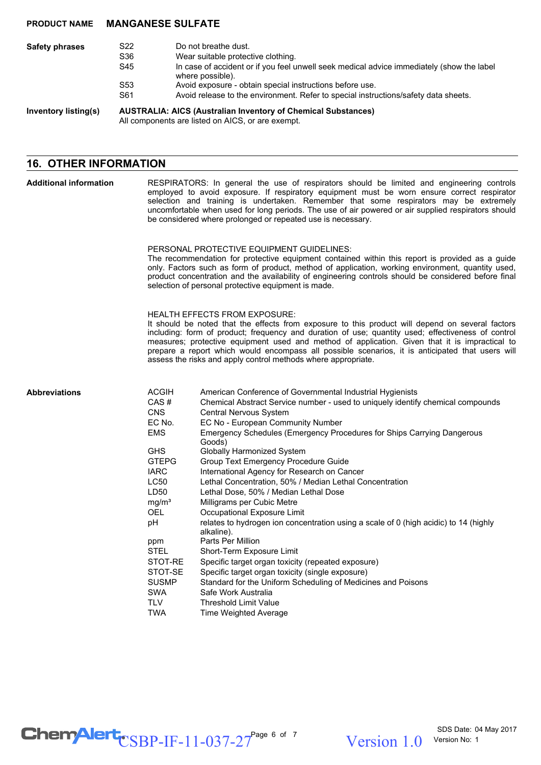| <b>Safety phrases</b> | S22<br>S36<br>S45      | Do not breathe dust.<br>Wear suitable protective clothing.<br>In case of accident or if you feel unwell seek medical advice immediately (show the label<br>where possible). |
|-----------------------|------------------------|-----------------------------------------------------------------------------------------------------------------------------------------------------------------------------|
|                       | S <sub>53</sub><br>S61 | Avoid exposure - obtain special instructions before use.<br>Avoid release to the environment. Refer to special instructions/safety data sheets.                             |
| Inventory listing(s)  |                        | <b>AUSTRALIA: AICS (Australian Inventory of Chemical Substances)</b><br>All components are listed on AICS, or are exempt.                                                   |

## **16. OTHER INFORMATION**

| <b>Additional information</b> | RESPIRATORS: In general the use of respirators should be limited and engineering controls<br>employed to avoid exposure. If respiratory equipment must be worn ensure correct respirator<br>selection and training is undertaken. Remember that some respirators may be extremely<br>uncomfortable when used for long periods. The use of air powered or air supplied respirators should<br>be considered where prolonged or repeated use is necessary.<br>PERSONAL PROTECTIVE EQUIPMENT GUIDELINES:<br>The recommendation for protective equipment contained within this report is provided as a guide<br>only. Factors such as form of product, method of application, working environment, quantity used,<br>product concentration and the availability of engineering controls should be considered before final<br>selection of personal protective equipment is made. |                                                                                                                                                                                                                                                                                                                                                                                                                                                                                                                                                                                                                                                                                                                                                                                                                                                                                                                                                                                                                |
|-------------------------------|-----------------------------------------------------------------------------------------------------------------------------------------------------------------------------------------------------------------------------------------------------------------------------------------------------------------------------------------------------------------------------------------------------------------------------------------------------------------------------------------------------------------------------------------------------------------------------------------------------------------------------------------------------------------------------------------------------------------------------------------------------------------------------------------------------------------------------------------------------------------------------|----------------------------------------------------------------------------------------------------------------------------------------------------------------------------------------------------------------------------------------------------------------------------------------------------------------------------------------------------------------------------------------------------------------------------------------------------------------------------------------------------------------------------------------------------------------------------------------------------------------------------------------------------------------------------------------------------------------------------------------------------------------------------------------------------------------------------------------------------------------------------------------------------------------------------------------------------------------------------------------------------------------|
|                               |                                                                                                                                                                                                                                                                                                                                                                                                                                                                                                                                                                                                                                                                                                                                                                                                                                                                             |                                                                                                                                                                                                                                                                                                                                                                                                                                                                                                                                                                                                                                                                                                                                                                                                                                                                                                                                                                                                                |
|                               | <b>HEALTH EFFECTS FROM EXPOSURE:</b><br>It should be noted that the effects from exposure to this product will depend on several factors<br>including: form of product; frequency and duration of use; quantity used; effectiveness of control<br>measures; protective equipment used and method of application. Given that it is impractical to<br>prepare a report which would encompass all possible scenarios, it is anticipated that users will<br>assess the risks and apply control methods where appropriate.                                                                                                                                                                                                                                                                                                                                                       |                                                                                                                                                                                                                                                                                                                                                                                                                                                                                                                                                                                                                                                                                                                                                                                                                                                                                                                                                                                                                |
| <b>Abbreviations</b>          | <b>ACGIH</b><br>CAS#<br>CNS<br>EC No.<br><b>EMS</b><br><b>GHS</b><br><b>GTEPG</b><br><b>IARC</b><br><b>LC50</b><br>LD50<br>mg/m <sup>3</sup><br><b>OEL</b><br>рH<br>ppm<br><b>STEL</b><br>STOT-RE<br>STOT-SE<br><b>SUSMP</b><br><b>SWA</b><br>TLV<br><b>TWA</b>                                                                                                                                                                                                                                                                                                                                                                                                                                                                                                                                                                                                             | American Conference of Governmental Industrial Hygienists<br>Chemical Abstract Service number - used to uniquely identify chemical compounds<br>Central Nervous System<br>EC No - European Community Number<br>Emergency Schedules (Emergency Procedures for Ships Carrying Dangerous<br>Goods)<br><b>Globally Harmonized System</b><br>Group Text Emergency Procedure Guide<br>International Agency for Research on Cancer<br>Lethal Concentration, 50% / Median Lethal Concentration<br>Lethal Dose, 50% / Median Lethal Dose<br>Milligrams per Cubic Metre<br>Occupational Exposure Limit<br>relates to hydrogen ion concentration using a scale of 0 (high acidic) to 14 (highly<br>alkaline).<br>Parts Per Million<br>Short-Term Exposure Limit<br>Specific target organ toxicity (repeated exposure)<br>Specific target organ toxicity (single exposure)<br>Standard for the Uniform Scheduling of Medicines and Poisons<br>Safe Work Australia<br><b>Threshold Limit Value</b><br>Time Weighted Average |

 $\text{CSBP-IF-11-037-27}^{\text{Page 6 of 7}}$  Version 1.0

Version 1.0 Version No: 1